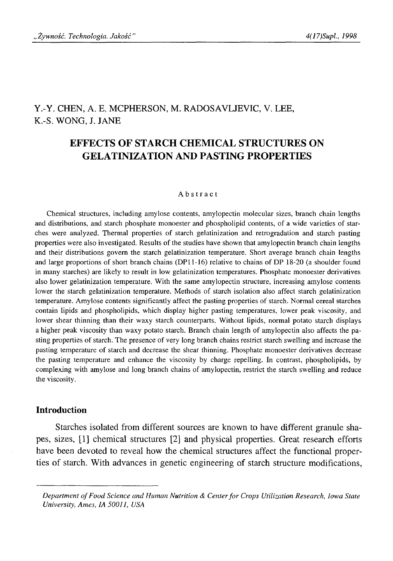# Y.-Y. CHEN, A. E. MCPHERSON, M. RADOSAVLJEVIC, V. LEE, K.-S. WONG, J. JANE

# **EFFECTS OF STARCH CHEMICAL STRUCTURES ON GELATINIZATION AND PASTING PROPERTIES**

#### Abstract

Chemical structures, including amylose contents, amylopectin molecular sizes, branch chain lengths and distributions, and starch phosphate monoester and phospholipid contents, of a wide varieties of starches were analyzed. Thermal properties of starch gelatinization and retrogradation and starch pasting properties were also investigated. Results of the studies have shown that amylopectin branch chain lengths and their distributions govern the starch gelatinization temperature. Short average branch chain lengths and large proportions of short branch chains (DPI 1-16) relative to chains of DP 18-20 (a shoulder found in many starches) are likely to result in low gelatinization temperatures. Phosphate monoester derivatives also lower gelatinization temperature. With the same amylopectin structure, increasing amylose contents lower the starch gelatinization temperature. Methods of starch isolation also affect starch gelatinization temperature. Amylose contents significantly affect the pasting properties of starch. Normal cereal starches contain lipids and phospholipids, which display higher pasting temperatures, lower peak viscosity, and lower shear thinning than their waxy starch counterparts. Without lipids, normal potato starch displays a higher peak viscosity than waxy potato starch. Branch chain length of amylopectin also affects the pasting properties of starch. The presence of very long branch chains restrict starch swelling and increase the pasting temperature of starch and decrease the shear thinning. Phosphate monoester derivatives decrease the pasting temperature and enhance the viscosity by charge repelling. In contrast, phospholipids, by complexing with amylose and long branch chains of amylopectin, restrict the starch swelling and reduce the viscosity.

## **Introduction**

Starches isolated from different sources are known to have different granule shapes, sizes, [1] chemical structures [2] and physical properties. Great research efforts have been devoted to reveal how the chemical structures affect the functional properties of starch. With advances in genetic engineering of starch structure modifications,

*Department of Food Science and Human Nutrition & Center for Crops Utilization Research, Iowa State University, Ames, IA 50011, USA*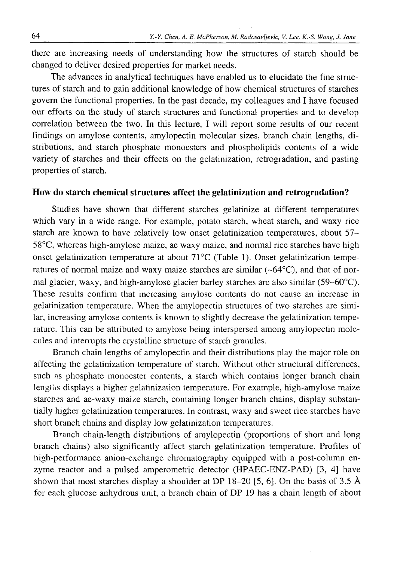there are increasing needs of understanding how the structures of starch should be changed to deliver desired properties for market needs.

The advances in analytical techniques have enabled us to elucidate the fine structures of starch and to gain additional knowledge of how chemical structures of starches govern the functional properties. In the past decade, my colleagues and I have focused our efforts on the study of starch structures and functional properties and to develop correlation between the two. In this lecture, I will report some results of our recent findings on amylose contents, amylopectin molecular sizes, branch chain lengths, distributions, and starch phosphate monoesters and phospholipids contents of a wide variety of starches and their effects on the gelatinization, retrogradation, and pasting properties of starch.

# **How do starch chemical structures affect the gelatinization and retrogradation?**

Studies have shown that different starches gelatinize at different temperatures which vary in a wide range. For example, potato starch, wheat starch, and waxy rice starch are known to have relatively low onset gelatinization temperatures, about 57- 58°C, whereas high-amylose maize, ae waxy maize, and normal rice starches have high onset gelatinization temperature at about 71°C (Table 1). Onset gelatinization temperatures of normal maize and waxy maize starches are similar  $(\sim 64^{\circ}C)$ , and that of normal glacier, waxy, and high-amylose glacier barley starches are also similar (59-60°C). These results confirm that increasing amylose contents do not cause an increase in gelatinization temperature. When the amylopectin structures of two starches are similar, increasing amylose contents is known to slightly decrease the gelatinization temperature. This can be attributed to amylose being interspersed among amylopectin molecules and interrupts the crystalline structure of starch granules.

Branch chain lengths of amylopectin and their distributions play the major role on affecting the gelatinization temperature of starch. Without other structural differences, such as phosphate monoester contents, a starch which contains longer branch chain lengths displays a higher gelatinization temperature. For example, high-amylose maize starches and ae-waxy maize starch, containing longer branch chains, display substantially higher gelatinization temperatures. In contrast, waxy and sweet rice starches have short branch chains and display low gelatinization temperatures.

Branch chain-length distributions of amylopectin (proportions of short and long branch chains) also significantly affect starch gelatinization temperature. Profiles of high-performance anion-exchange chromatography equipped with a post-column enzyme reactor and a pulsed amperometric detector (HPAEC-ENZ-PAD) [3, 4] have shown that most starches display a shoulder at DP 18-20 [5, 6]. On the basis of 3.5 Å for each glucose anhydrous unit, a branch chain of DP 19 has a chain length of about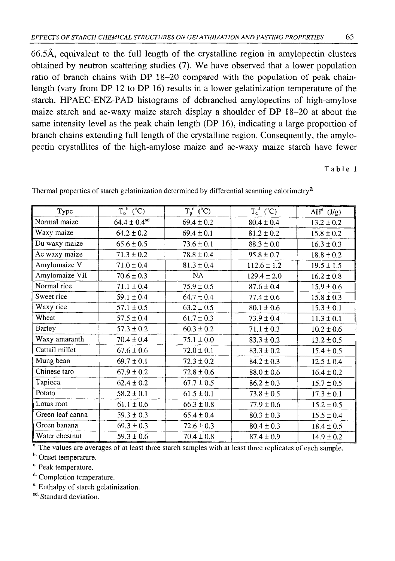66.5Å. equivalent to the full length of the crystalline region in amylopectin clusters obtained by neutron scattering studies (7). We have observed that a lower population ratio of branch chains with DP 18-20 compared with the population of peak chainlength (vary from DP 12 to DP 16) results in a lower gelatinization temperature of the starch. HPAEC-ENZ-PAD histograms of debranched amylopectins of high-amylose maize starch and ae-waxy maize starch display a shoulder of DP 18-20 at about the same intensity level as the peak chain length (DP 16), indicating a large proportion of branch chains extending full length of the crystalline region. Consequently, the amylopectin crystallites of the high-amylose maize and ae-waxy maize starch have fewer

Table 1

| Type             | $T_o^b$ (°C)                 | $T_p^c$ (°C)   | $T_c^d$ (°C)    | $\Delta H^e$ (J/g) |
|------------------|------------------------------|----------------|-----------------|--------------------|
| Normal maize     | $64.4 \pm 0.4$ <sup>sd</sup> | $69.4 \pm 0.2$ | $80.4 \pm 0.4$  | $13.2 \pm 0.2$     |
| Waxy maize       | $64.2 \pm 0.2$               | $69.4 \pm 0.1$ | $81.2 \pm 0.2$  | $15.8 \pm 0.2$     |
| Du waxy maize    | $65.6 \pm 0.5$               | $73.6 \pm 0.1$ | $88.3 \pm 0.0$  | $16.3 \pm 0.3$     |
| Ae waxy maize    | $71.3 \pm 0.2$               | $78.8 \pm 0.4$ | $95.8 \pm 0.7$  | $18.8 \pm 0.2$     |
| Amylomaize V     | $71.0 \pm 0.4$               | $81.3 \pm 0.4$ | $112.6 \pm 1.2$ | $19.5 \pm 1.5$     |
| Amylomaize VII   | $70.6 \pm 0.3$               | NA             | $129.4 \pm 2.0$ | $16.2 \pm 0.8$     |
| Normal rice      | $71.1 \pm 0.4$               | $75.9 \pm 0.5$ | $87.6 \pm 0.4$  | $15.9 \pm 0.6$     |
| Sweet rice       | $59.1 \pm 0.4$               | $64.7 \pm 0.4$ | $77.4 \pm 0.6$  | $15.8 \pm 0.3$     |
| Waxy rice        | $57.1 \pm 0.5$               | $63.2 \pm 0.5$ | $80.1 \pm 0.6$  | $15.3 \pm 0.1$     |
| Wheat            | $57.5 \pm 0.4$               | $61.7 \pm 0.3$ | $73.9 \pm 0.4$  | $11.3 \pm 0.1$     |
| Barley           | $57.3 \pm 0.2$               | $60.3 \pm 0.2$ | $71.1 \pm 0.3$  | $10.2 \pm 0.6$     |
| Waxy amaranth    | $70.4 \pm 0.4$               | $75.1 \pm 0.0$ | $83.3 \pm 0.2$  | $13.2 \pm 0.5$     |
| Cattail millet   | $67.6 \pm 0.6$               | $72.0 \pm 0.1$ | $83.3 \pm 0.2$  | $15.4 \pm 0.5$     |
| Mung bean        | $69.7 \pm 0.1$               | $72.3 \pm 0.2$ | $84.2 \pm 0.3$  | $12.5 \pm 0.4$     |
| Chinese taro     | $67.9 \pm 0.2$               | $72.8 \pm 0.6$ | $88.0 \pm 0.6$  | $16.4 \pm 0.2$     |
| Tapioca          | $62.4 \pm 0.2$               | $67.7 \pm 0.5$ | $86.2 \pm 0.3$  | $15.7 \pm 0.5$     |
| Potato           | $58.2 \pm 0.1$               | $61.5 \pm 0.1$ | $73.8 \pm 0.5$  | $17.3 \pm 0.1$     |
| Lotus root       | $61.1 \pm 0.6$               | $66.3 \pm 0.8$ | $77.9 \pm 0.6$  | $15.2 \pm 0.5$     |
| Green leaf canna | $59.3 \pm 0.3$               | $65.4 \pm 0.4$ | $80.3 \pm 0.3$  | $15.5 \pm 0.4$     |
| Green banana     | $69.3 \pm 0.3$               | $72.6 \pm 0.3$ | $80.4 \pm 0.3$  | $18.4 \pm 0.5$     |
| Water chestnut   | $59.3 \pm 0.6$               | $70.4 \pm 0.8$ | $87.4 \pm 0.9$  | $14.9 \pm 0.2$     |

Thermal properties of starch gelatinization determined by differential scanning calorimetry<sup>a</sup>

<sup>a.</sup> The values are averages of at least three starch samples with at least three replicates of each sample.

b. Onset temperature.

c' Peak temperature.

d. Completion temperature.

e' Enthalpy of starch gelatinization.

sd. Standard deviation.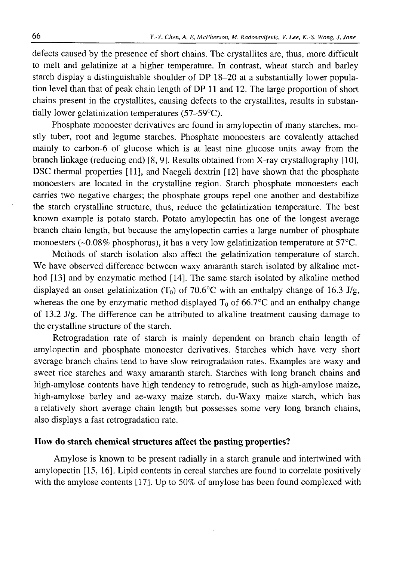defects caused by the presence of short chains. The crystallites are, thus, more difficult to melt and gelatinize at a higher temperature. In contrast, wheat starch and barley starch display a distinguishable shoulder of DP 18-20 at a substantially lower population level than that of peak chain length of DP 11 and 12. The large proportion of short chains present in the crystallites, causing defects to the crystallites, results in substantially lower gelatinization temperatures (57-59°C).

Phosphate monoester derivatives are found in amylopectin of many starches, mostly tuber, root and legume starches. Phosphate monoesters are covalently attached mainly to carbon-6 of glucose which is at least nine glucose units away from the branch linkage (reducing end) [8 , 9]. Results obtained from X-ray crystallography [10], DSC thermal properties [11], and Naegeli dextrin [12] have shown that the phosphate monoesters are located in the crystalline region. Starch phosphate monoesters each carries two negative charges; the phosphate groups repel one another and destabilize the starch crystalline structure, thus, reduce the gelatinization temperature. The best known example is potato starch. Potato amylopectin has one of the longest average branch chain length, but because the amylopectin carries a large number of phosphate monoesters ( $\sim 0.08\%$  phosphorus), it has a very low gelatinization temperature at 57 $\degree$ C.

Methods of starch isolation also affect the gelatinization temperature of starch. We have observed difference between waxy amaranth starch isolated by alkaline method [13] and by enzymatic method [14]. The same starch isolated by alkaline method displayed an onset gelatinization  $(T_0)$  of 70.6°C with an enthalpy change of 16.3 J/g, whereas the one by enzymatic method displayed  $T_0$  of 66.7°C and an enthalpy change of 13.2 J/g. The difference can be attributed to alkaline treatment causing damage to the crystalline structure of the starch.

Retrogradation rate of starch is mainly dependent on branch chain length of amylopectin and phosphate monoester derivatives. Starches which have very short average branch chains tend to have slow retrogradation rates. Examples are waxy and sweet rice starches and waxy amaranth starch. Starches with long branch chains and high-amylose contents have high tendency to retrograde, such as high-amylose maize, high-amylose barley and ae-waxy maize starch. du-Waxy maize starch, which has a relatively short average chain length but possesses some very long branch chains, also displays a fast retrogradation rate.

### **How do starch chemical structures affect the pasting properties?**

Amylose is known to be present radially in a starch granule and intertwined with amylopectin [15, 16]. Lipid contents in cereal starches are found to correlate positively with the amylose contents [17]. Up to 50% of amylose has been found complexed with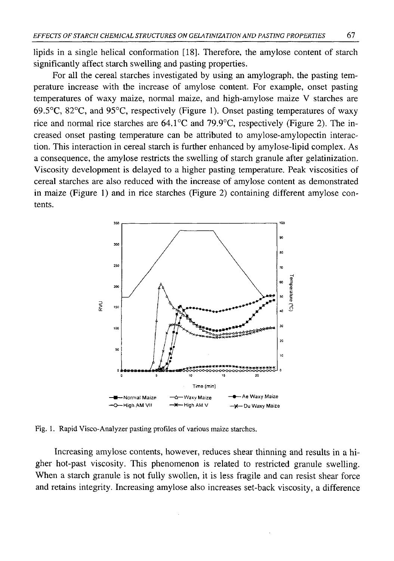lipids in a single helical conformation [18]. Therefore, the amylose content of starch significantly affect starch swelling and pasting properties.

For all the cereal starches investigated by using an amylograph, the pasting temperature increase with the increase of amylose content. For example, onset pasting temperatures of waxy maize, normal maize, and high-amylose maize V starches are 69.5°C, 82°C, and 95°C, respectively (Figure 1). Onset pasting temperatures of waxy rice and normal rice starches are 64.1°C and 79.9°C, respectively (Figure 2). The increased onset pasting temperature can be attributed to amylose-amylopectin interaction. This interaction in cereal starch is further enhanced by amylose-lipid complex. As a consequence, the amylose restricts the swelling of starch granule after gelatinization. Viscosity development is delayed to a higher pasting temperature. Peak viscosities of cereal starches are also reduced with the increase of amylose content as demonstrated in maize (Figure 1) and in rice starches (Figure 2) containing different amylose contents.



Fig. 1. Rapid Visco-Analyzer pasting profiles of various maize starches.

Increasing amylose contents, however, reduces shear thinning and results in a higher hot-past viscosity. This phenomenon is related to restricted granule swelling. When a starch granule is not fully swollen, it is less fragile and can resist shear force and retains integrity. Increasing amylose also increases set-back viscosity, a difference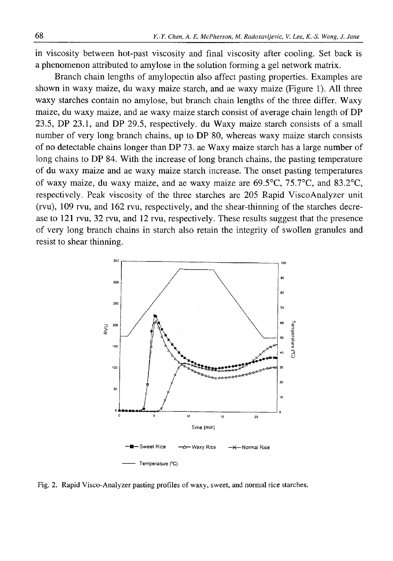in viscosity between hot-past viscosity and final viscosity after cooling. Set back is a phenomenon attributed to amylose in the solution forming a gel network matrix.

Branch chain lengths of amylopectin also affect pasting properties. Examples are shown in waxy maize, du waxy maize starch, and ae waxy maize (Figure 1). All three waxy starches contain no amylose, but branch chain lengths of the three differ. Waxy maize, du waxy maize, and ae waxy maize starch consist of average chain length of DP 23.5, DP 23.1, and DP 29.5, respectively, du Waxy maize starch consists of a small number of very long branch chains, up to DP 80, whereas waxy maize starch consists of no detectable chains longer than DP 73. ae Waxy maize starch has a large number of long chains to DP 84. With the increase of long branch chains, the pasting temperature of du waxy maize and ae waxy maize starch increase. The onset pasting temperatures of waxy maize, du waxy maize, and ae waxy maize are 69.5°C, 75.7°C, and 83.2°C, respectively. Peak viscosity of the three starches are 205 Rapid ViscoAnalyzer unit (rvu), 109 rvu, and 162 rvu, respectively, and the shear-thinning of the starches decrease to 121 rvu, 32 rvu, and 12 rvu, respectively. These results suggest that the presence of very long branch chains in starch also retain the integrity of swollen granules and resist to shear thinning.



Fig. 2. Rapid Visco-Analyzer pasting profiles of waxy, sweet, and normal rice starches.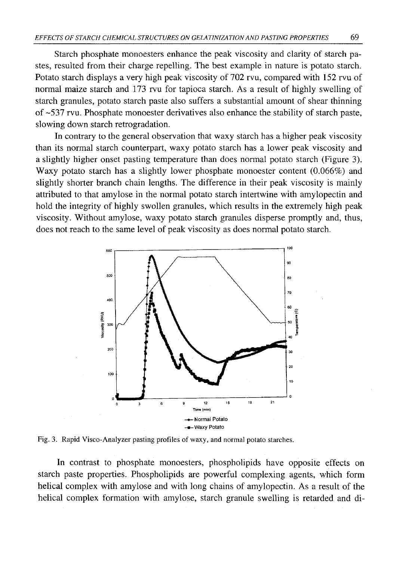Starch phosphate monoesters enhance the peak viscosity and clarity of starch pastes, resulted from their charge repelling. The best example in nature is potato starch. Potato starch displays a very high peak viscosity of 702 rvu, compared with 152 rvu of normal maize starch and 173 rvu for tapioca starch. As a result of highly swelling of starch granules, potato starch paste also suffers a substantial amount of shear thinning of -537 rvu. Phosphate monoester derivatives also enhance the stability of starch paste, slowing down starch retrogradation.

In contrary to the general observation that waxy starch has a higher peak viscosity than its normal starch counterpart, waxy potato starch has a lower peak viscosity and a slightly higher onset pasting temperature than does normal potato starch (Figure 3). Waxy potato starch has a slightly lower phosphate monoester content (0.066%) and slightly shorter branch chain lengths. The difference in their peak viscosity is mainly attributed to that amylose in the normal potato starch intertwine with amylopectin and hold the integrity of highly swollen granules, which results in the extremely high peak viscosity. Without amylose, waxy potato starch granules disperse promptly and, thus, does not reach to the same level of peak viscosity as does normal potato starch.



Fig. 3. Rapid Visco-Analyzer pasting profiles of waxy, and normal potato starches.

In contrast to phosphate monoesters, phospholipids have opposite effects on starch paste properties. Phospholipids are powerful complexing agents, which form helical complex with amylose and with long chains of amylopectin. As a result of the helical complex formation with amylose, starch granule swelling is retarded and di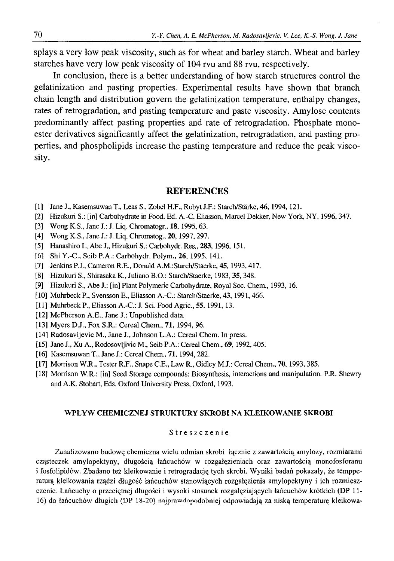splays a very low peak viscosity, such as for wheat and barley starch. Wheat and barley starches have very low peak viscosity of 104 rvu and 88 rvu, respectively.

In conclusion, there is a better understanding of how starch structures control the gelatinization and pasting properties. Experimental results have shown that branch chain length and distribution govern the gelatinization temperature, enthalpy changes, rates of retrogradation, and pasting temperature and paste viscosity. Amylose contents predominantly affect pasting properties and rate of retrogradation. Phosphate monoester derivatives significantly affect the gelatinization, retrogradation, and pasting properties, and phospholipids increase the pasting temperature and reduce the peak viscosity.

### **REFERENCES**

- [1] Jane J., Kasemsuwan T., Leas S., Zobel H.F., Robyt J.F.: Starch/Stärke, 46,1994,121.
- [2] Hizukuri S.: [in] Carbohydrate in Food. Ed. A.-C. Eliasson, Marcel Dekker, New York, NY, 1996, 347.
- [3] Wong K.S., Jane J.: J. Liq. Chromatogr., **18,**1995,63.
- [4] Wong K.S., Jane J.: J. Liq. Chromatog., 20, 1997, 297.
- [5] Hanashiro I., Abe J., Hizukuri S.: Carbohydr. Res., **283,** 1996,151.
- [6] Shi Y.-C., Seib P.A.: Carbohydr. Polym., 26, 1995, 141.
- [7] Jenkins P.J., Cameron R.E., Donald A.M.:Starch/Staerke, 45,1993,417.
- [8] Hizukuri S., Shirasaka K., Juliano B.O.: Starch/Staerke, 1983,**35,** 348.
- [9] Hizukuri S., Abe J.: [in] Plant Polymeric Carbohydrate, Royal Soc. Chem., 1993, 16.
- [10] Muhrbeck P., Svensson E., Eliasson A.-C.: Starch/Staerke, 43, 1991, 466.
- [11] Muhrbeck P., Eliasson A.-C.: J. Sci. Food Agric., 55, 1991, 13.
- [12] McPherson A.E., Jane J.: Unpublished data.
- [13] Myers D.J., Fox S.R.: Cereal Chem., **71,** 1994, 96.
- [14] Radosavljevic M., Jane J., Johnson L.A.: Cereal Chem. In press.
- [15] Jane J., Xu A., Rodosovljivic M., Seib P.A.: Cereal Chem., 69, 1992, 405.
- [16] Kasemsuwan T., Jane J.: Cereal Chem., **7 1 ,**1994,282.
- [17] Morrison W.R., Tester R.F., Snape C.E., Law R., Gidley M.J.: Cereal Chem., 70, 1993, 385.
- [18] Morrison W.R.: [in] Seed Storage compounds: Biosynthesis, interactions and manipulation. P.R. Shewry and A.K. Stobart, Eds. Oxford University Press, Oxford, 1993.

### WPŁYW CHEMICZNEJ STRUKTURY SKROBI NA KLEIKOWANIE SKROBI

#### Streszczenie

Zanalizowano budowę chemiczna wielu odmian skrobi łącznie z zawartością amylozy, rozmiarami cząsteczek amylopektyny, długością łańcuchów w rozgałęzieniach oraz zawartością monofosforanu i fosfolipidów. Zbadano też kleikowanie i retrogradację tych skrobi. Wyniki badań pokazały, że tempperaturą kleikowania rządzi długość łańcuchów stanowiących rozgałęzienia amylopektyny i ich rozmieszczenie. Łańcuchy o przeciętnej długości i wysoki stosunek rozgałęziających łańcuchów krótkich (DP 11- 16) do łańcuchów długich (DP 18-20) najprawdopodobniej odpowiadają za niską temperaturę kleikowa